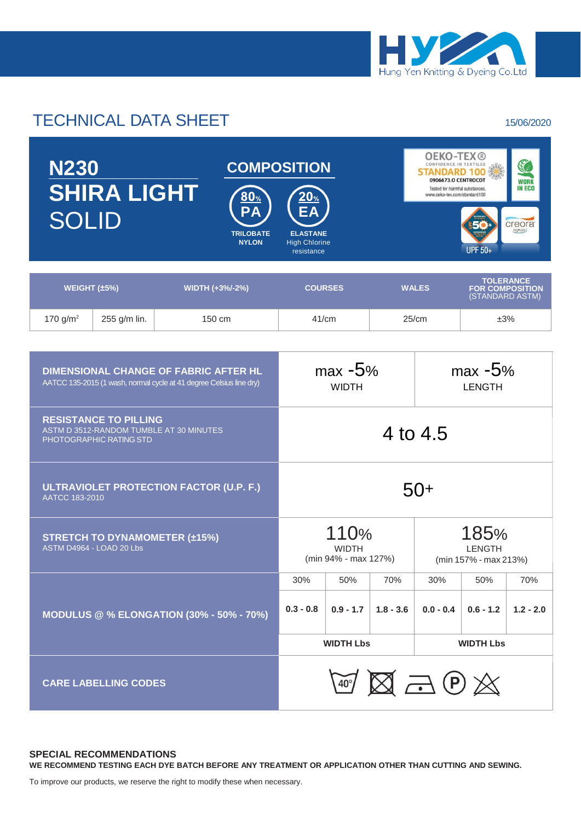

# TECHNICAL DATA SHEET 15/06/2020

| <b>N230</b><br><b>SHIRA LIGHT</b><br><b>SOLID</b>                                                                   |              | $\mathbf{80}_{\%}$<br>D<br><b>TRILOBATE</b><br><b>NYLON</b> | <b>COMPOSITION</b><br>20 <sub>%</sub><br><b>ELASTANE</b><br><b>High Chlorine</b><br>resistance |                           | <b>OEKO-TEX®</b><br>S<br>CONFIDENCE IN TEXTILES<br><b>STANDARD 100 3 %</b><br>0906673.O CENTROCOT<br><b>WORK</b><br><b>IN ECO</b><br>Tested for harmful substances.<br>www.oeko-tex.com/standard100<br>creora<br>highclo)<br><b>UPF 50+</b> |                                                               |     |  |
|---------------------------------------------------------------------------------------------------------------------|--------------|-------------------------------------------------------------|------------------------------------------------------------------------------------------------|---------------------------|---------------------------------------------------------------------------------------------------------------------------------------------------------------------------------------------------------------------------------------------|---------------------------------------------------------------|-----|--|
| WEIGHT $(\pm 5\%)$<br>WIDTH (+3%/-2%)                                                                               |              |                                                             | <b>COURSES</b>                                                                                 |                           | <b>WALES</b>                                                                                                                                                                                                                                | <b>TOLERANCE</b><br><b>FOR COMPOSITION</b><br>(STANDARD ASTM) |     |  |
| 170 $g/m^2$                                                                                                         | 255 g/m lin. | $150 \text{ cm}$                                            |                                                                                                | 41/cm                     | 25/cm                                                                                                                                                                                                                                       |                                                               | ±3% |  |
|                                                                                                                     |              |                                                             |                                                                                                |                           |                                                                                                                                                                                                                                             |                                                               |     |  |
| <b>DIMENSIONAL CHANGE OF FABRIC AFTER HL</b><br>AATCC 135-2015 (1 wash, normal cycle at 41 degree Celsius line dry) |              |                                                             |                                                                                                | $max -5%$<br><b>WIDTH</b> |                                                                                                                                                                                                                                             | $max -5%$<br><b>LENGTH</b>                                    |     |  |
| <b>RESISTANCE TO PILLING</b><br>ASTM D 3512-RANDOM TUMBLE AT 30 MINUTES<br>PHOTOGRAPHIC RATING STD                  |              |                                                             |                                                                                                | 4 to 4.5                  |                                                                                                                                                                                                                                             |                                                               |     |  |
|                                                                                                                     |              |                                                             |                                                                                                |                           |                                                                                                                                                                                                                                             |                                                               |     |  |

| ULTRAVIOLET PROTECTION FACTOR (U.P. F.)<br>AATCC 183-2010        |                                                      |             |             |                                                |             |             |  |
|------------------------------------------------------------------|------------------------------------------------------|-------------|-------------|------------------------------------------------|-------------|-------------|--|
| <b>STRETCH TO DYNAMOMETER (±15%)</b><br>ASTM D4964 - LOAD 20 Lbs | 110%<br><b>WIDTH</b><br>(min 94% - max 127%)         |             |             | 185%<br><b>LENGTH</b><br>(min 157% - max 213%) |             |             |  |
|                                                                  | 30%                                                  | 50%         | 70%         | 30%                                            | 50%         | 70%         |  |
| <b>MODULUS @ % ELONGATION (30% - 50% - 70%)</b>                  | $0.3 - 0.8$                                          | $0.9 - 1.7$ | $1.8 - 3.6$ | $0.0 - 0.4$                                    | $0.6 - 1.2$ | $1.2 - 2.0$ |  |
|                                                                  | <b>WIDTH Lbs</b>                                     |             |             | <b>WIDTH Lbs</b>                               |             |             |  |
| <b>CARE LABELLING CODES</b>                                      | $\boxtimes$ a $\mathbb{P}\mathbb{X}$<br>$40^{\circ}$ |             |             |                                                |             |             |  |

### **SPECIAL RECOMMENDATIONS WE RECOMMEND TESTING EACH DYE BATCH BEFORE ANY TREATMENT OR APPLICATION OTHER THAN CUTTING AND SEWING.**

To improve our products, we reserve the right to modify these when necessary.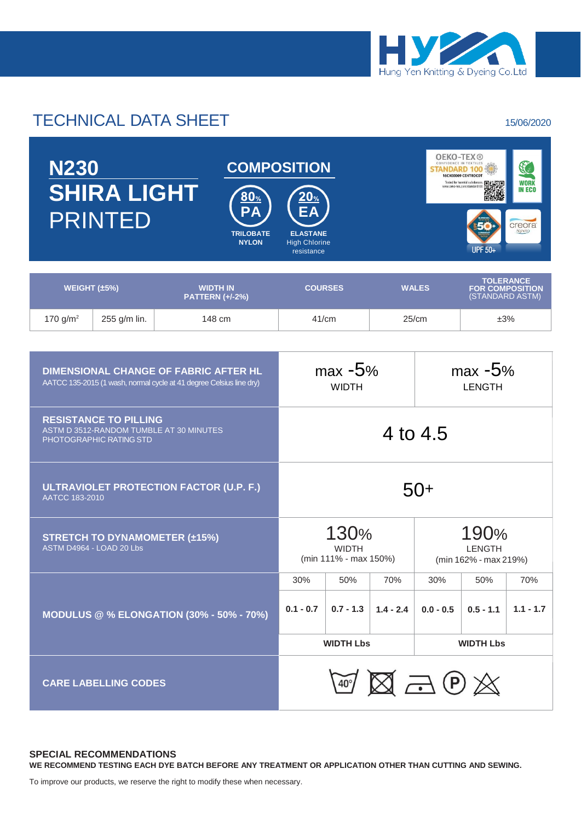

# TECHNICAL DATA SHEET 15/06/2020

| <b>DIMENSIONAL CHANGE OF FABRIC AFTER HL</b><br>AATCC 135-2015 (1 wash, normal cycle at 41 degree Celsius line dry) |                                               | $max -5%$<br><b>WIDTH</b> |             | $max -5%$<br><b>LENGTH</b>                          |             |             |  |  |
|---------------------------------------------------------------------------------------------------------------------|-----------------------------------------------|---------------------------|-------------|-----------------------------------------------------|-------------|-------------|--|--|
| <b>RESISTANCE TO PILLING</b><br>ASTM D 3512-RANDOM TUMBLE AT 30 MINUTES<br>PHOTOGRAPHIC RATING STD                  | 4 to 4.5                                      |                           |             |                                                     |             |             |  |  |
| ULTRAVIOLET PROTECTION FACTOR (U.P. F.)<br>AATCC 183-2010                                                           | $50+$                                         |                           |             |                                                     |             |             |  |  |
| <b>STRETCH TO DYNAMOMETER (±15%)</b><br>ASTM D4964 - LOAD 20 Lbs                                                    | 130%<br><b>WIDTH</b><br>(min 111% - max 150%) |                           |             | 190%<br><b>LENGTH</b><br>(min 162% - max 219%)      |             |             |  |  |
|                                                                                                                     | 30%                                           | 50%                       | 70%         | 30%<br>50%                                          |             | 70%         |  |  |
| <b>MODULUS @ % ELONGATION (30% - 50% - 70%)</b>                                                                     | $0.1 - 0.7$                                   | $0.7 - 1.3$               | $1.4 - 2.4$ | $0.0 - 0.5$                                         | $0.5 - 1.1$ | $1.1 - 1.7$ |  |  |
|                                                                                                                     | <b>WIDTH Lbs</b>                              |                           |             | <b>WIDTH Lbs</b>                                    |             |             |  |  |
| <b>CARE LABELLING CODES</b>                                                                                         |                                               |                           |             | $\mathbb{Z} \boxtimes \mathbb{Z} \oplus \mathbb{Z}$ |             |             |  |  |

### **SPECIAL RECOMMENDATIONS WE RECOMMEND TESTING EACH DYE BATCH BEFORE ANY TREATMENT OR APPLICATION OTHER THAN CUTTING AND SEWING.**

To improve our products, we reserve the right to modify these when necessary.